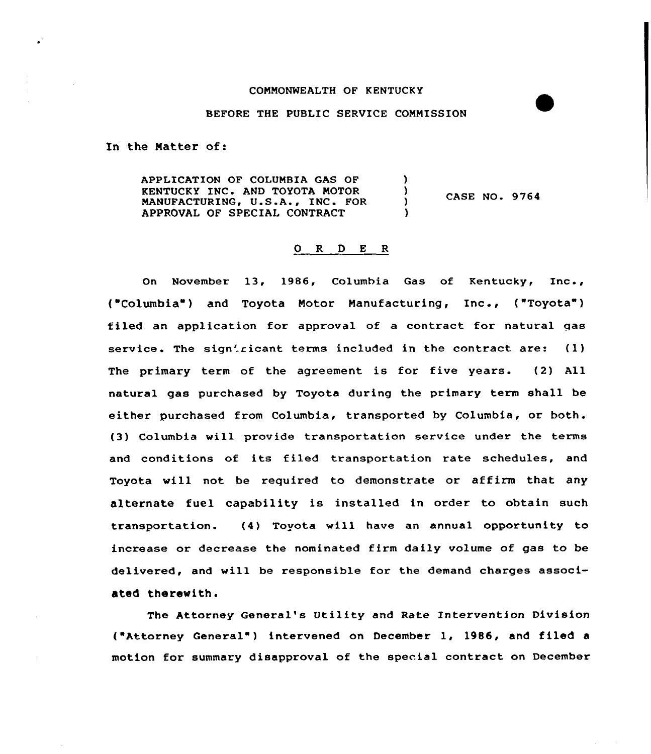## COMMONWEALTH OF KENTUCKY

## BEFORE THE PUBLIC SERVICE COMMISSION

In the Matter of:

APPLICATION OF COLUMBIA GAS OF ١ KENTUCKY INC. AND TOYOTA MOTOR Y CASE NO. 9764 MANUFACTURING, U.S.A., INC. FOR Y APPROVAL OF SPECIAL CONTRACT

## 0 R <sup>D</sup> E R

On November 13, 1986, Columbia Gas of Kentucky, Inc., ("Columbia") and Toyota Motor Manufacturing, Inc., ("Toyota") filed an application for approval of a contract for natural gas service. The sign'ricant terms included in the contract are:  $(1)$ The primary term of the agreement is for five years. (2) All natural gas purchased by Toyota during the primary term shall be either purchased from Columbia, transported by Columbia, or both. (3) Columbia vill provide transportation service under the terms and conditions of its filed transportation rate schedules, and Toyota will not be required to demonstrate or affirm that any alternate fuel capability is installed in order to obtain such transportation. (4) Toyota will have an annual opportunity to increase or decrease the nominated firm daily volume of gas to be delivered, and vill be responsible for the demand charges associated therewith.

The Attorney General's Utility and Rate Intervention Division ("Attorney General") intervened on December 1, 1986, and filed a motion for summary disapproval of the special contract on December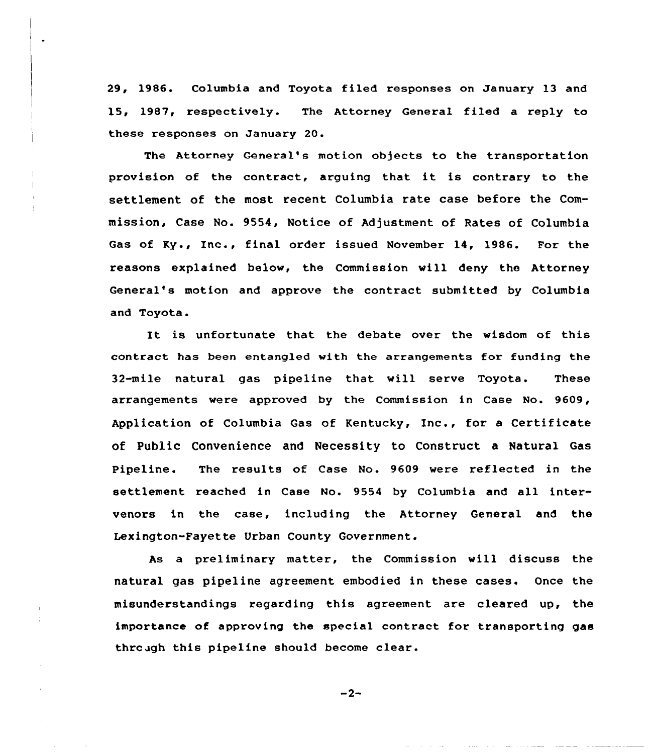29, 1986. Columbia and Toyota filed responses on January 13 and 15, 1987, respectively. The Attorney General filed a reply to these responses on January 20.

The Attorney General's motion objects to the transportation provision of the contract, arguing that it is contrary to the settlement of the most recent Columbia rate case before the Commission, Case No. 9554, Notice of Adjustment of Rates of Columbia Gas of Ky., Inc., final order issued November 14, 1986. For the reasons explained below, the Commission will deny the Attorney General's motion and approve the contract submitted by Columbia and Toyota.

It is unfortunate that the debate over the wisdom of this contract has been entangled with the arrangements for funding the 32-mile natural gas pipeline that will serve Toyota. These arrangements were approved by the Commission in Case No. 9609, Application of Columbia Gas of Kentucky, Inc., for <sup>a</sup> Certificate of Public Convenience and Necessity to Construct a Natural Gas pipeline. The results of Case No. 9609 were reflected in the settlement reached in Case No. 9554 by Columbia and all intervenors in the case, including the Attorney General and the Lexington-Fayette Urban County Government.

As a preliminary matter, the Commission will discuss the natural gas pipeline agreement embodied in these cases. Once the misunderstandings regarding this agreement are cleared up, the importance of approving the special contract for transporting gas thrcugh this pipeline should become clear.

 $-2-$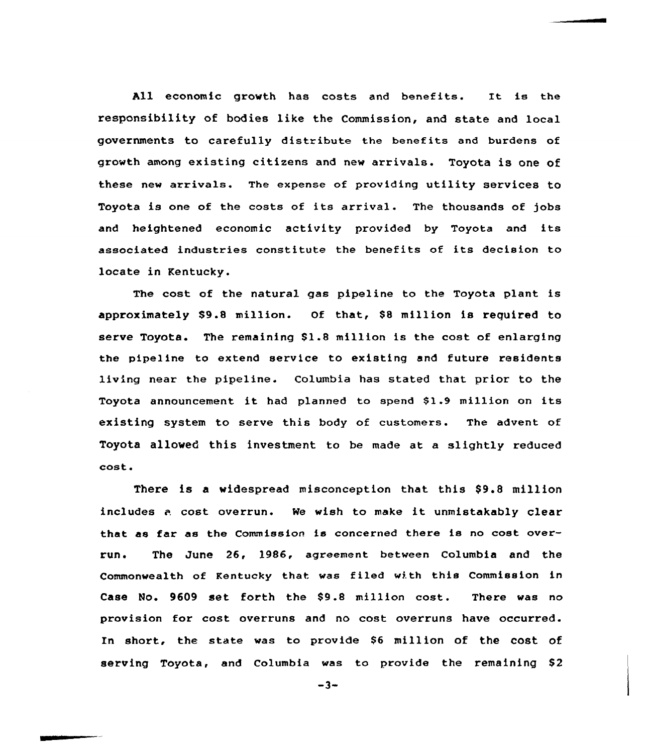All economic growth has costs and benefits. It is the responsibility of bodies like the Commission, and state and local governments to carefully distribute the benefits and burdens of growth among existing citizens and new arrivals. Toyota is one of these new arrivals. The expense of providing utility services to Toyota is one of the costs of its arrival. The thousands of jobs and heightened economic activity provided by Toyota and its associated industries constitute the benefits of its decision to locate in Kentucky.

The cost of the natural gas pipeline to the Toyota plant is approximately  $$9.8$  million. Of that,  $$8$  million is required to serve Toyota. The remaining  $$1.8$  million is the cost of enlarging the pipeline to extend service to existing and future residents living near the pipeline. Columbia has stated that prior to the Toyota announcement it had planned to spend \$1.9 million on its existing system to serve this body of customers. The advent of Toyota allowed this investment to be made at a slightly reduced cost.

There is a widespread misconception that this \$9.8 million includes <sup>a</sup> cost overrun. Ne wish to make it unmistakably clear that as far as the Commission is concerned there is no cost overrun. The June 26, 1986, agreement between Columbia and the Commonwealth of Kentucky that was filed with this Commission in Case No. 9609 set forth the \$9.8 million cost. There was no provision for cost overruns and no cost overruns have occurred. In short, the state was to provide \$6 million of the cost of serving Toyota, and Columbia was to provide the remaining \$2

 $-3-$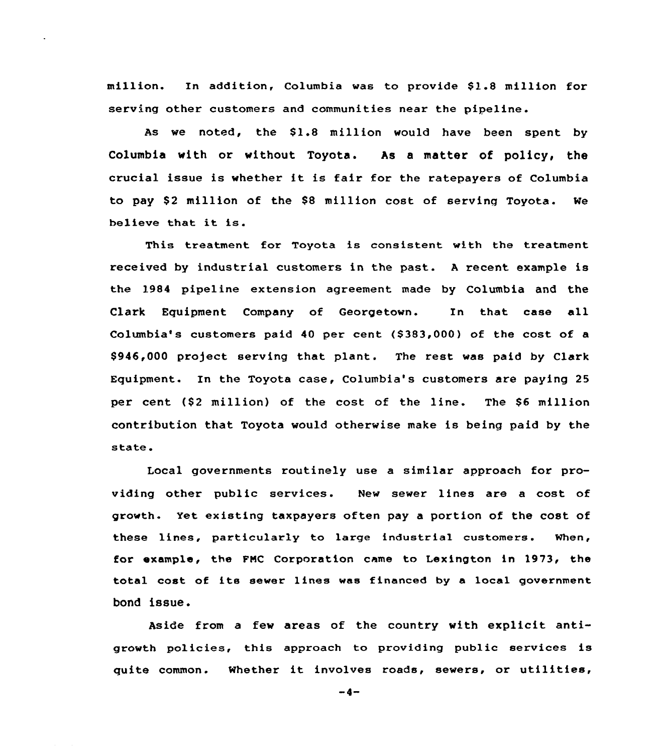million. In addition, Columbia was to provide \$1.8 million for serving other customers and communities near the pipeline.

As we noted, the \$1.8 million would have been spent by Columbia with or without. Toyota. As a matter of policy, the crucial issue is whether it is fair for the ratepayers of Columbia to pay \$2 million of the \$8 million cost of serving Toyota. We believe that it is.

This treatment for Toyota is consistent with the treatment received by industrial customers in the past. <sup>A</sup> recent example is the 1984 pipeline extension agreement made by Columbia and the Clark Equipment Company of Georgetown. In that case all Columbia's customers paid 40 per cent  $($ \$383,000) of the cost of a  $$946,000$  project serving that plant. The rest was paid by Clark Equipment. In the Toyota case, Columbia's customers are paying 25 per cent (\$2 million) of the cost of the line. The \$6 million contribution that Toyota would otherwise make is being paid by the state.

Local governments routinely use a similar approach for providing other public services. New sewer lines are a cost of growth. Yet existing taxpayers often pay a portion of the cost of these lines, particularly to large industrial customers. when, for example, the FMC Corporation came to Lexington in 1973, the total cost of its sewer lines was financed by <sup>a</sup> local government bond issue.

Aside from a few areas of the country with explicit antigrowth policies, this approach to providing public services is quite common. Whether it involves roads, sewers, or utilities,

 $-4-$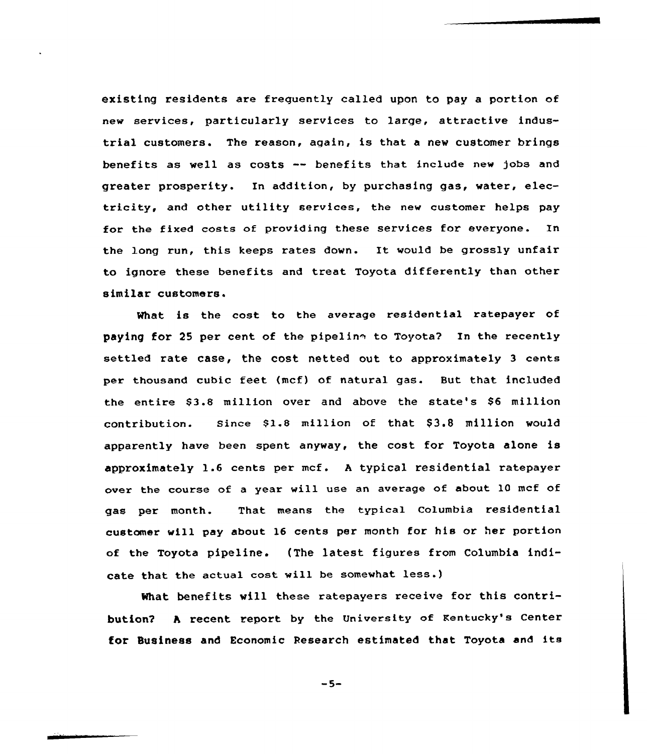existing residents are freguently called upon to pay a portion of new services, particularly services to large, attractive industrial customers. The reason, again, is that a new customer brings benefits as well as costs -- benefits that include new )obs and greater prosperity. In addition, by purchasing gas, water, electricity, and other utility services, the new customer helps pay for the fixed costs of providing these services for everyone. In the long run, this keeps rates down. It would be grossly unfair to ignore these benefits and treat Toyota differently than other similar customers.

What is the cost to the average residential ratepayer of paying for 25 per cent of the pipelin<sup>®</sup> to Toyota? In the recently settled rate case, the cost netted out to approximately 3 cents per thousand cubic feet (mcf) of natural gas. But that included the entire \$3.8 million over and above the state's \$6 million contribution. Since \$1.8 million of that \$3.8 million would apparently have been spent anyway, the cost for Toyota alone is approximately 1.6 cents per mcf. <sup>A</sup> typical residential ratepayer over the course of a year will use an average of about 10 mcf of gas per month. That means the typical Columbia residential customer will pay about 16 cents per month for his or her portion of the Toyota pipeline. (The latest figures from Columbia indicate that the actual cost vill be somewhat less.)

What benefits will these ratepayers receive for this contribution2 <sup>A</sup> recent report by the University of Kentucky's Center for Susiness and Economic Research estimated that Toyota and its

 $-5-$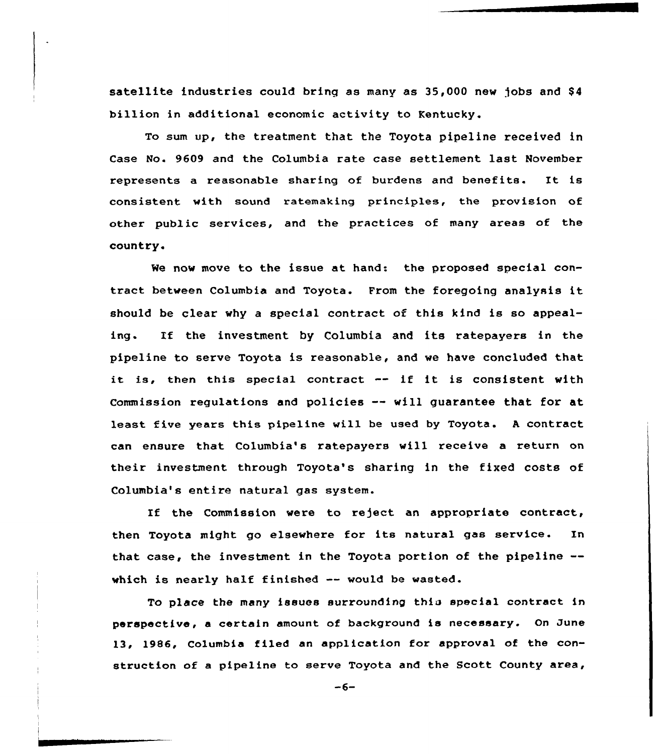satellite industries could bring as many as 35,000 new jobs and \$4 billion in additional economic activity to Kentucky.

To sum up, the treatment that the Toyota pipeline received in Case No. 9609 and the Columbia rate case settlement last November represents <sup>a</sup> reasonable sharing of burdens and benefits. It is consistent with sound ratemaking principles, the provision of other public services, and the practices of many areas of the country.

We now move to the issue at hand: the proposed special contract between Columbia and Toyota. From the foregoing analysis it should be clear why a special contract of this kind is so appealing. If the investment by Columbia and its ratepayers in the pipeline to serve Toyota is reasonable, and we have concluded that it is, then this special contract  $-$  if it is consistent with Commission regulations and policies -- will guarantee that for at least five years this pipeline will be used by Toyota. <sup>A</sup> contract can ensure that Columbia's ratepayers will receive a return on their investment through Toyota's sharing in the fixed costs of Columbia's entire natural gas system.

If the Commission were to reject an appropriate contract, then Toyota might go elsewhere for its natural gas service. In that case, the investment in the Toyota portion of the pipeline- which is nearly half finished  $--$  would be wasted.

To place the many issues surrounding this special contract in perspective, <sup>a</sup> certain amount of background is necessary. On June 13, 1986, Columbia filed an application for approval of the construction of a pipeline to serve Toyota and the Scott County area,

 $-6-$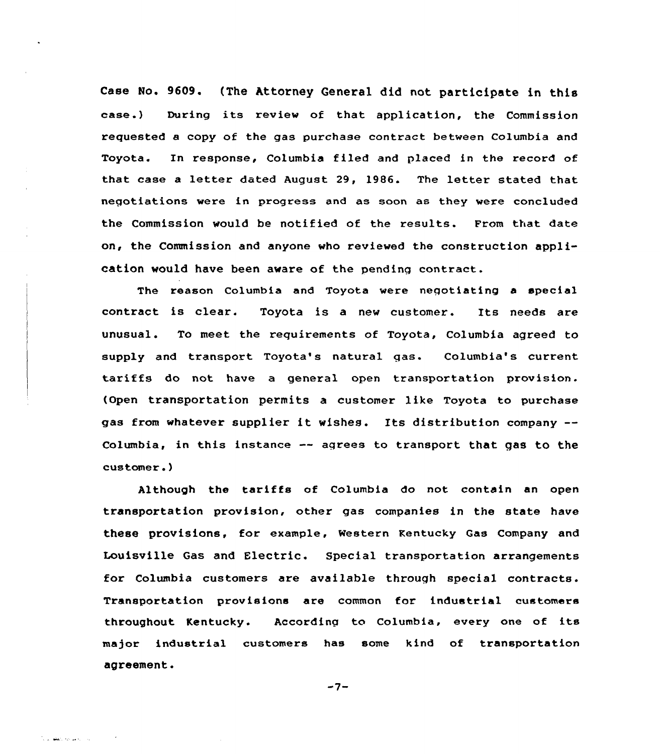Case No. 9609. (The Attorney General did not participate in this case.) During its review of that application, the Commission requested a copy of the gas purchase contract between Columbia and Toyota. In response, Columbia filed and placed in the record of that case <sup>a</sup> letter dated August 29, l986. The letter stated that negotiations were in progress and as soon as they were concluded the Commission would be notified of the results. From that date on, the Commission and anyone who reviewed the construction application would have been aware of the pending contract.

The reason Columbia and Toyota were negotiating <sup>a</sup> special contract is clear. Toyota is a new customer. Its needs are unusual. To meet the requirements of Toyota, Columbia agreed to supply and transport Toyota's natural gas. Columbia's current tariffs do not have a general open transportation provision. (Open transportation permits a customer like Toyota to purchase gas from whatever supplier it wishes. Its distribution company-- Columbia, in this instance -- agrees to transport that gas to the customer.)

Although the tariffs of Columbia do not contain an open transportation provision, other gas companies in the state have these provisions, for example, Western Kentucky Gas Company and Louisville Gas and Electric. Special transportation arrangements for Columbia customers are available through special contracts. Transportation provisions are common for industrial customers throughout Kentucky. According to Columbia, every one of its major industrial customers has some kind of transportation agreement.

 $-7-$ 

**Committee Street, Inc.**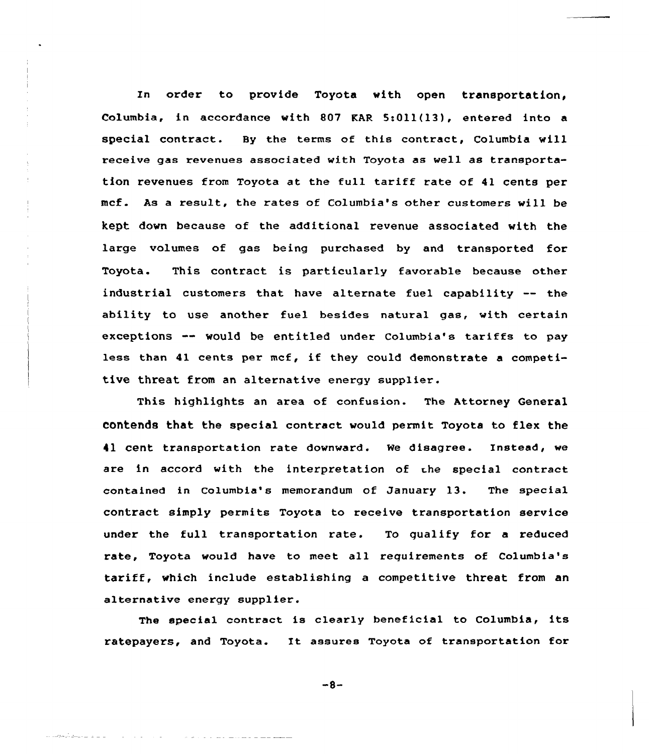In order to provide Toyota with open transportation, Columbia, in accordance with 807 EAR S:Oll(13), entered into a special contract. By the terms of this contract, Columbia vill receive gas revenues associated with Toyota as well as transportation revenues from Toyota at the full tariff rate of 41 cents per mcf. As a result, the rates of Columbia's other customers will be kept down because of the additional revenue associated with the large volumes of gas being purchased by and transported for Toyota. This contract is particularly favorable because other industrial customers that have alternate fuel capability -- the ability to use another fuel besides natural gas, with certain exceptions  $\rightarrow$  would be entitled under Columbia's tariffs to pay less than 41 cents per mcf, if they could demonstrate <sup>a</sup> competitive threat from an alternative energy supplier.

This highlights an area of confusion. The Attorney General contends that the special contract would permit Toyota to flex the 41 cent transportation rate downward. We disagree. Instead, we are in accord with the interpretation of the special contract contained in Columbia's memorandum of January 13. The special contract simply permits Toyota to receive transportation service under the full transportation rate. To qualify for <sup>a</sup> reduced rate, Toyota would have to meet all requirements of Columbia's tariff, which include establishing <sup>a</sup> competitive threat from an alternative energy supplier.

The special contract is clearly beneficial to Columbia, its ratepayers, and Toyota. It assures Toyota of transportation for

 $-8-$ 

كالدابد التاء للتكافأ والمعاجدات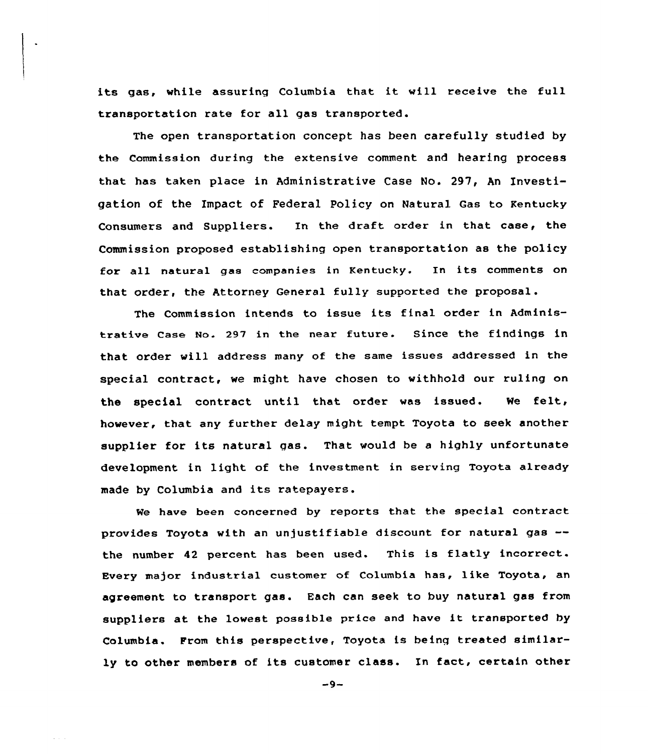its gas, while assuring Columbia that it will receive the full transportation rate for all gas transported.

The open transportation concept has been carefully studied by the Commission during the extensive comment and hearing process that has taken place in Administrative Case No. 297, An Investigation of the Impact of Federal Policy on Natural Gas to Kentucky Consumers and Suppliers. In the draft order in that case, the Commission proposed establishing open transportation as the policy for all natural gas companies in Kentucky. In its comments on that order, the Attorney General fully supported the proposal.

The Commission intends to issue its final order in Administrative case No. 297 in the near future. Since the findings in that order will address many of the same issues addressed in the special contract, we might have chosen to withhold our ruling on the special contract until that order was issued. We felt, however, that any further delay might tempt Toyota to seek another supplier for its natural gas. That would be <sup>a</sup> highly unfortunate development in light of the investment in serving Toyota already made by Columbia and its ratepayers.

We have been concerned by reports that the special contract provides Toyota with an unjustifiable discount for natural gas the number 42 percent has been used. This is flatly incorrect. Every major industrial customer of Columbia has, like Toyota, an agreement to transport gas. Each can seek to buy natural gas from suppliers at the lowest possible price and have it transported by Columbia. From this perspective, Toyota is being treated similarly to other members of its customer class. In fact, certain other

 $-9-$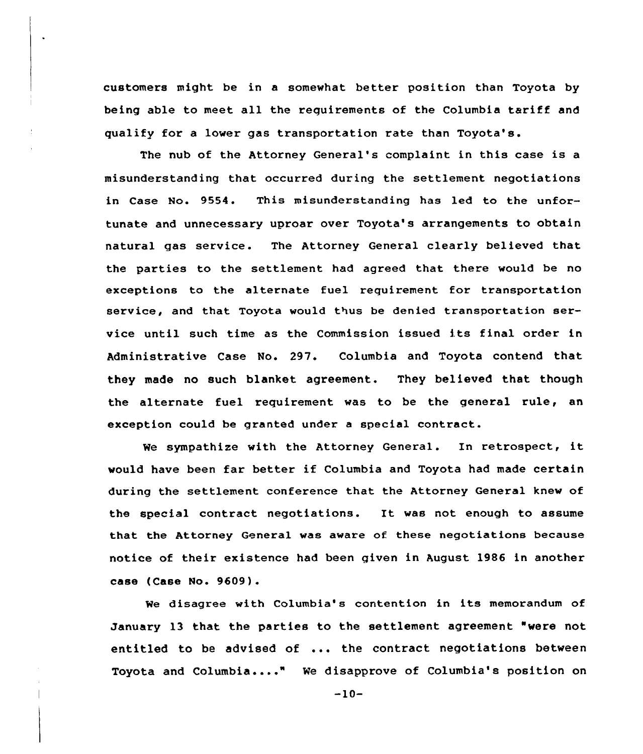customers might be in a somewhat better position than Toyota by being able to meet all the requirements of the Columbia tariff and qualify for a lower gas transportation rate than Toyota's.

The nub of the Attorney General's complaint in this case is a misunderstanding that occurred during the settlement negotiations in Case No. 9554. This misunderstanding has led to the unfortunate and unnecessary uproar over Toyota's arrangements to obtain natural gas service. The Attorney General clearly believed that the parties to the settlement had agreed that there would be no exceptions to the alternate fuel requirement for transportation service, and that Toyota would thus be denied transportation service until such time as the Commission issued its final order in Administrative Case No. 297. Columbia and Toyota contend that they made no such blanket agreement. They believed that though the alternate fuel requirement was to be the general rule, an exception could be granted under <sup>a</sup> special contract.

Ne sympathize with the Attorney General. In retrospect, it would have been far better if Columbia and Toyota had made certain during the settlement conference that the Attorney General knew of the special contract negotiations. It was not enough to assume that the Attorney General was aware of these negotiations because notice of their existence had been given in August 1986 in another case (Case No. 9609).

We disagree with Columbia's contention in its memorandum of January 13 that the parties to the settlement agreement "were not entitled to be advised of ... the contract negotiations between Toyota and Columbia...." We disapprove of Columbia's position on

 $-10-$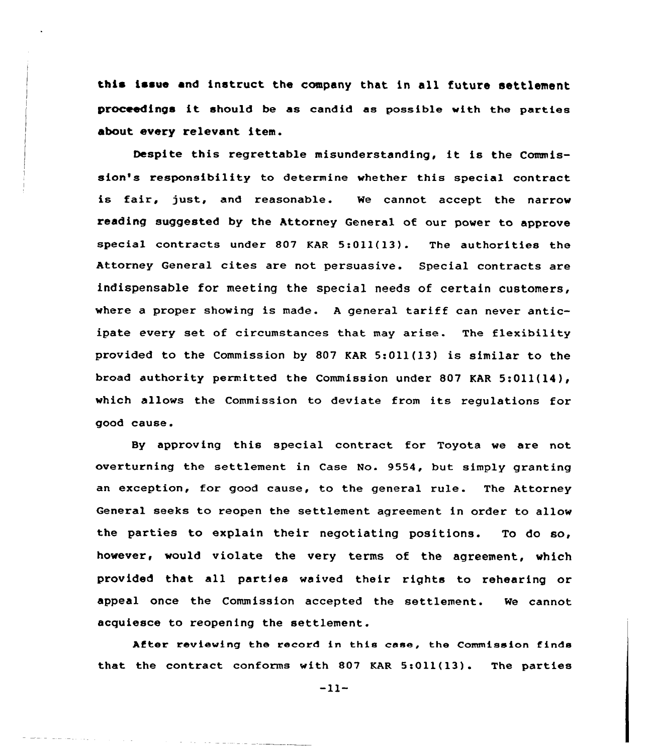this issue and instruct the company that in all future settlement proceedings it should be as candid as possible with the parties about every relevant item.

Despite this regrettable misunderstanding, it is the Commission's responsibility to determine whether this special contract is fair, just, and reasonable. We cannot accept the narrow reading suggested by the Attorney General of our power to approve special contracts under 807 KAR 5:Oll(13). The authorities the Attorney General cites are not persuasive. Special contracts are indispensable for meeting the special needs of certain customers, where <sup>a</sup> proper showing is made. <sup>A</sup> general tariff can never anticipate every set of circumstances that may arise. The flexibility provided to the Commission by 807 KAR 5:Oll(13) is similar to the broad authority permitted the Commission under 807 KAR 5:Oil(14), which allows the Commission to deviate from its regulations for good cause.

By approving this special contract for Toyota we are not overturning the settlement in Case No. 9554, but simply granting an exception, for good cause, to the general rule. The Attorney General seeks to reopen the settlement agreement in order to allow the parties to explain their negotiating positions. To do so, however, would violate the very terms of the agreement, which provided that all parties waived their rights to rehearing or appeal once the Commission accepted the settlement. We cannot acquiesce to reopening the settlement.

After reviewing the record in this ease, the Commission finde that the contract conforms with 807 KAR  $5:011(13)$ . The parties

 $-11-$ 

 $\label{eq:reduced} \begin{split} \mathcal{L}_{\text{max}}(\mathcal{L}_{\text{max}},\mathcal{L}_{\text{max}},\mathcal{L}_{\text{max}},\mathcal{L}_{\text{max}}) = \mathcal{L}_{\text{max}}(\mathcal{L}_{\text{max}},\mathcal{L}_{\text{max}}) \end{split}$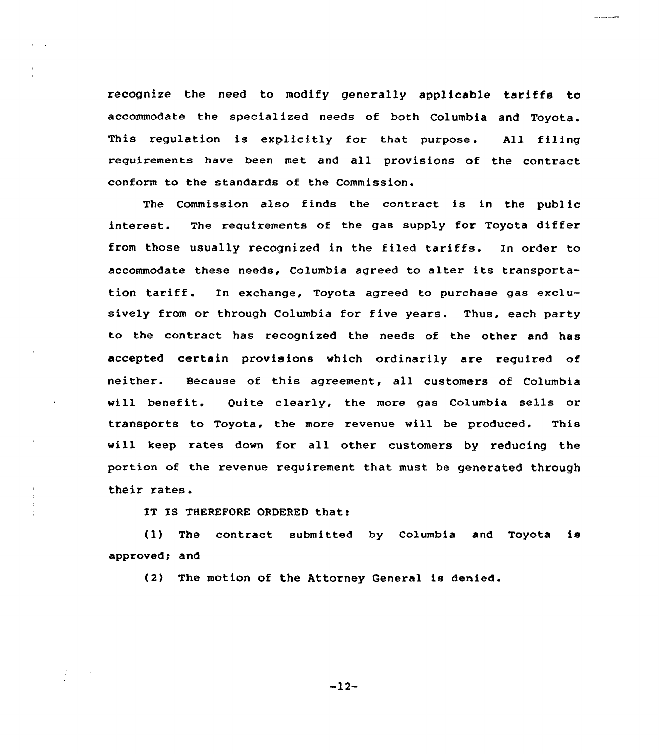recognize the need to modify generally applicable tariffs to accommodate the specialized needs of both Columbia and Toyota. This regulation is explicitly for that purpose. All filing requirements have been met and all provisions of the contract conform to the standards of the Commission.

The Commission also finds the contract is in the public interest. The requirements of the gas supply for Toyota differ from those usually recognized in the filed tariffs. In order to accommodate these needs, Columbia agreed to altex its transportation tariff. In exchange, Toyota agreed to puxchase gas exclusively from ox through Columbia for five years. Thus, each party to the contract has recognized the needs of the other and has accepted certain provisions which oxdinaxily are required of neither. Because of this agreement, all customers of Columbia will benefit. Quite clearly, the more gas Columbia sells or transports to Toyota, the more revenue will be produced. This will keep rates down for all other customers by reducing the portion of the revenue requirement that must be generated through theix rates.

IT IS THEREFORE ORDERED that:

(1) The contract submitted by Columbia and Toyota is approved; and

(2) The motion of the Attorney General is denied.

 $-12-$